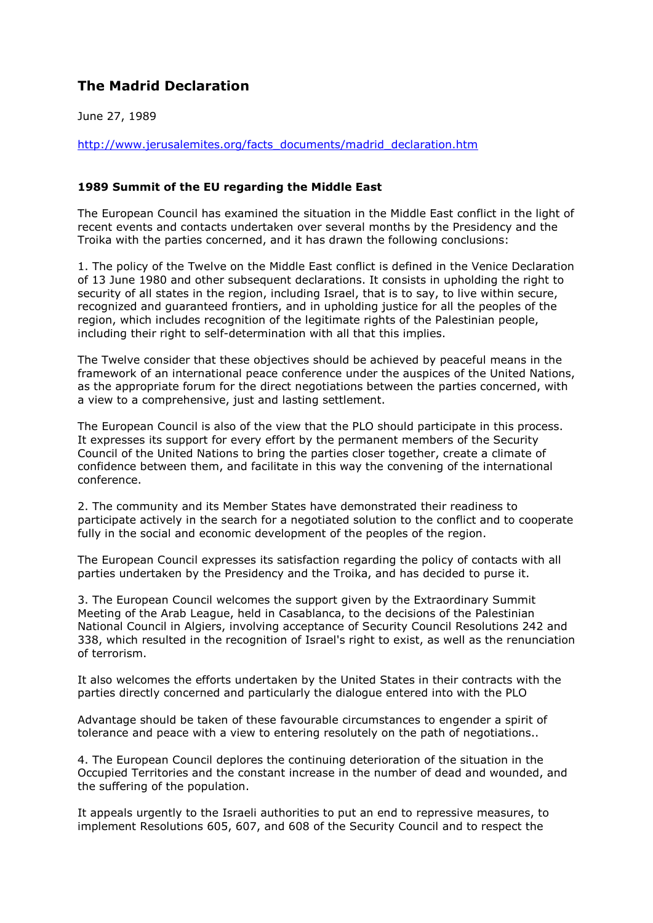## **The Madrid Declaration**

June 27, 1989

http://www.jerusalemites.org/facts\_documents/madrid\_declaration.htm

## **1989 Summit of the EU regarding the Middle East**

The European Council has examined the situation in the Middle East conflict in the light of recent events and contacts undertaken over several months by the Presidency and the Troika with the parties concerned, and it has drawn the following conclusions:

1. The policy of the Twelve on the Middle East conflict is defined in the Venice Declaration of 13 June 1980 and other subsequent declarations. It consists in upholding the right to security of all states in the region, including Israel, that is to say, to live within secure, recognized and guaranteed frontiers, and in upholding justice for all the peoples of the region, which includes recognition of the legitimate rights of the Palestinian people, including their right to self-determination with all that this implies.

The Twelve consider that these objectives should be achieved by peaceful means in the framework of an international peace conference under the auspices of the United Nations, as the appropriate forum for the direct negotiations between the parties concerned, with a view to a comprehensive, just and lasting settlement.

The European Council is also of the view that the PLO should participate in this process. It expresses its support for every effort by the permanent members of the Security Council of the United Nations to bring the parties closer together, create a climate of confidence between them, and facilitate in this way the convening of the international conference.

2. The community and its Member States have demonstrated their readiness to participate actively in the search for a negotiated solution to the conflict and to cooperate fully in the social and economic development of the peoples of the region.

The European Council expresses its satisfaction regarding the policy of contacts with all parties undertaken by the Presidency and the Troika, and has decided to purse it.

3. The European Council welcomes the support given by the Extraordinary Summit Meeting of the Arab League, held in Casablanca, to the decisions of the Palestinian National Council in Algiers, involving acceptance of Security Council Resolutions 242 and 338, which resulted in the recognition of Israel's right to exist, as well as the renunciation of terrorism.

It also welcomes the efforts undertaken by the United States in their contracts with the parties directly concerned and particularly the dialogue entered into with the PLO

Advantage should be taken of these favourable circumstances to engender a spirit of tolerance and peace with a view to entering resolutely on the path of negotiations..

4. The European Council deplores the continuing deterioration of the situation in the Occupied Territories and the constant increase in the number of dead and wounded, and the suffering of the population.

It appeals urgently to the Israeli authorities to put an end to repressive measures, to implement Resolutions 605, 607, and 608 of the Security Council and to respect the